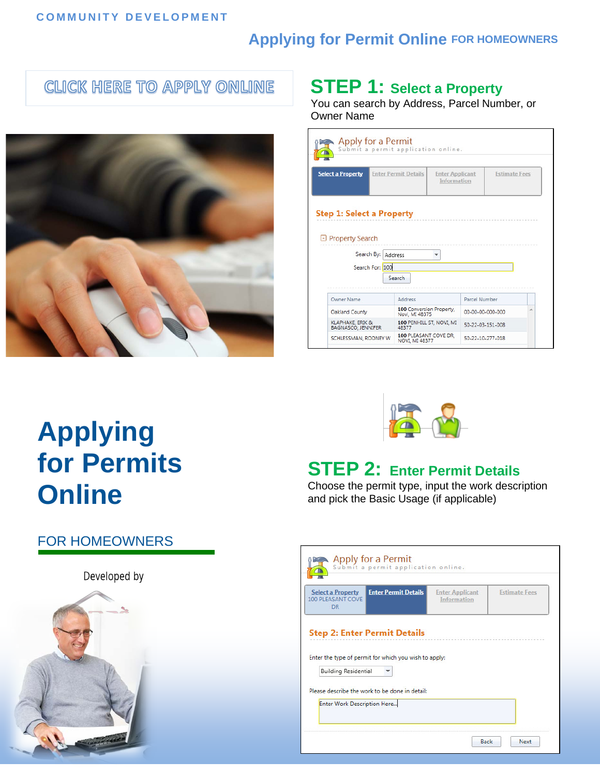#### **COMMUNITY DEVELOPMENT**

#### **Applying for Permit Online FOR HOMEOWNERS**

#### **CLICK HERE TO APPLY ONLINE**



### **STEP 1: Select a Property**

You can search by Address, Parcel Number, or Owner Name

| Apply for a Permit                                                                     | Submit a permit application online.        |                                              |                  |                      |
|----------------------------------------------------------------------------------------|--------------------------------------------|----------------------------------------------|------------------|----------------------|
| <b>Select a Property</b>                                                               | <b>Enter Permit Details</b>                | <b>Enter Applicant</b><br><b>Information</b> |                  | <b>Estimate Fees</b> |
| <b>Step 1: Select a Property</b><br>□ Property Search<br>Search By:<br>Search For: 100 | Address<br>Search                          |                                              |                  |                      |
|                                                                                        |                                            |                                              |                  |                      |
| <b>Owner Name</b>                                                                      | Address                                    |                                              | Parcel Number    |                      |
| Oakland County                                                                         | 100 Conversion Property.<br>Novi, MI 48375 |                                              | 00-00-00-000-000 | ۸                    |
| KLAPHAKE, ERIK &<br>BAGNASCO, JENNIFER                                                 | 100 PENHILL ST. NOVI. MI<br>48377          |                                              | 50-22-03-151-008 |                      |

# **Applying for Permits Online**

## **STEP 2: Enter Permit Details**

Choose the permit type, input the work description and pick the Basic Usage (if applicable)

|  | <b>FOR HOMEOWNERS</b> |
|--|-----------------------|
|  |                       |

Developed by



| <b>Select a Property</b><br>100 PLEASANT COVE<br><b>DR</b> | <b>Enter Permit Details</b>                           | <b>Enter Applicant</b><br><b>Information</b> | <b>Estimate Fees</b> |
|------------------------------------------------------------|-------------------------------------------------------|----------------------------------------------|----------------------|
|                                                            | <b>Step 2: Enter Permit Details</b>                   |                                              |                      |
|                                                            |                                                       |                                              |                      |
|                                                            | Enter the type of permit for which you wish to apply: |                                              |                      |
|                                                            |                                                       |                                              |                      |
| <b>Building Residential</b>                                | Please describe the work to be done in detail:        |                                              |                      |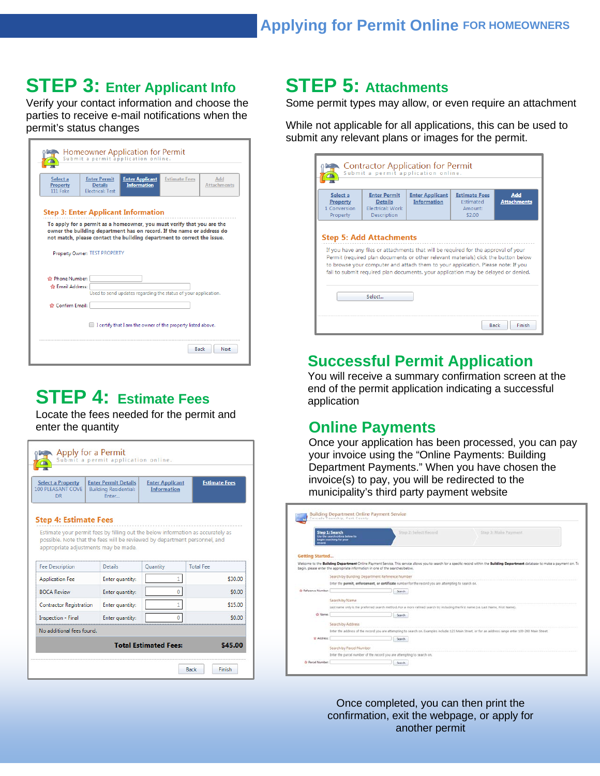### **STEP 3: Enter Applicant Info**

Verify your contact information and choose the parties to receive e-mail notifications when the permit's status changes

|                                  |                                                                                                                              | Submit a permit application online.                                                                                                                                                                                                                                       | Homeowner Application for Permit |                           |  |  |  |
|----------------------------------|------------------------------------------------------------------------------------------------------------------------------|---------------------------------------------------------------------------------------------------------------------------------------------------------------------------------------------------------------------------------------------------------------------------|----------------------------------|---------------------------|--|--|--|
| Select a<br>Property<br>111 Fake | <b>Enter Permit</b><br><b>Details</b><br><b>Electrical: Test</b>                                                             | <b>Enter Applicant</b><br><b>Information</b>                                                                                                                                                                                                                              | <b>Estimate Fees</b>             | Add<br><b>Attachments</b> |  |  |  |
|                                  | Property Owner: TEST PROPERTY                                                                                                | <b>Step 3: Enter Applicant Information</b><br>To apply for a permit as a homeowner, you must verify that you are the<br>owner the building department has on record. If the name or address do<br>not match, please contact the building department to correct the issue. |                                  |                           |  |  |  |
|                                  |                                                                                                                              |                                                                                                                                                                                                                                                                           |                                  |                           |  |  |  |
|                                  | ☆ Phone Number:<br><b>Chail Address:</b><br>Used to send updates regarding the status of your application.<br>Confirm Email: |                                                                                                                                                                                                                                                                           |                                  |                           |  |  |  |

### **STEP 4: Estimate Fees**

Locate the fees needed for the permit and enter the quantity

| <b>Select a Property</b><br><b>100 PLEASANT COVE</b><br><b>DR</b>                                                                                                                                                                     | <b>Enter Permit Details</b><br><b>Building Residential:</b><br>Enter | <b>Enter Applicant</b><br><b>Information</b> | <b>Estimate Fees</b> |  |  |  |
|---------------------------------------------------------------------------------------------------------------------------------------------------------------------------------------------------------------------------------------|----------------------------------------------------------------------|----------------------------------------------|----------------------|--|--|--|
| <b>Step 4: Estimate Fees</b><br>Estimate your permit fees by filling out the below information as accurately as<br>possible. Note that the fees will be reviewed by department personnel, and<br>appropriate adjustments may be made. |                                                                      |                                              |                      |  |  |  |
|                                                                                                                                                                                                                                       |                                                                      |                                              |                      |  |  |  |
|                                                                                                                                                                                                                                       | Details                                                              | Quantity                                     | <b>Total Fee</b>     |  |  |  |
|                                                                                                                                                                                                                                       | Enter quantity:                                                      | 1                                            | \$30.00              |  |  |  |
|                                                                                                                                                                                                                                       | Enter quantity:                                                      | o                                            | \$0.00               |  |  |  |
|                                                                                                                                                                                                                                       | Enter quantity:                                                      |                                              | \$15.00              |  |  |  |
| <b>Fee Description</b><br><b>Application Fee</b><br><b>ROCA Review</b><br><b>Contractor Registration</b><br><b>Inspection - Final</b>                                                                                                 | Enter quantity:                                                      |                                              | \$0.00               |  |  |  |
| No additional fees found.                                                                                                                                                                                                             |                                                                      |                                              |                      |  |  |  |

#### **STEP 5: Attachments**

Some permit types may allow, or even require an attachment

While not applicable for all applications, this can be used to submit any relevant plans or images for the permit.

#### **Successful Permit Application**

You will receive a summary confirmation screen at the end of the permit application indicating a successful application

#### **Online Payments**

Once your application has been processed, you can pay your invoice using the "Online Payments: Building Department Payments." When you have chosen the invoice(s) to pay, you will be redirected to the municipality's third party payment website

| secord.                | Step 1: Search<br>Use the search orders below to<br>begin searching for your  | Stop 21 Select Fireord                                                                                                              | Step 3: Malos Payment                                                                                                                                                               |
|------------------------|-------------------------------------------------------------------------------|-------------------------------------------------------------------------------------------------------------------------------------|-------------------------------------------------------------------------------------------------------------------------------------------------------------------------------------|
| <b>Getting Started</b> |                                                                               |                                                                                                                                     |                                                                                                                                                                                     |
|                        | begin, please enter the appropriate information in one of the searches below. |                                                                                                                                     | Welcome to the Building Department Online Payment Service. This service allows you to search for a specific record within the Building Department database to make a payment on. To |
|                        | Search by Building Department Reference Number                                |                                                                                                                                     |                                                                                                                                                                                     |
|                        |                                                                               | Enter the permit, enforcement, or certificate number for the record you are attempting to search on.                                |                                                                                                                                                                                     |
| C Reference Number:    |                                                                               | Search                                                                                                                              |                                                                                                                                                                                     |
|                        | Search by Name                                                                |                                                                                                                                     |                                                                                                                                                                                     |
|                        |                                                                               | Last name only is the preferred search method. For a more refined search try including the first name (i.e. Last Name, First Name). |                                                                                                                                                                                     |
| <b>☆ Name</b>          |                                                                               | Search <sup>®</sup>                                                                                                                 |                                                                                                                                                                                     |
|                        | Search by Address                                                             |                                                                                                                                     |                                                                                                                                                                                     |
|                        |                                                                               |                                                                                                                                     | Enter the address of the record you are attempting to search on. Examples include: 123 Main Street, or for an address range enter 100-200 Main Street.                              |
|                        |                                                                               | <b>Search</b>                                                                                                                       |                                                                                                                                                                                     |
| th Address:            |                                                                               |                                                                                                                                     |                                                                                                                                                                                     |
|                        | Search by Parcel Number                                                       |                                                                                                                                     |                                                                                                                                                                                     |
|                        |                                                                               | Enter the parcel number of the record you are attempting to search on.                                                              |                                                                                                                                                                                     |

Once completed, you can then print the confirmation, exit the webpage, or apply for another permit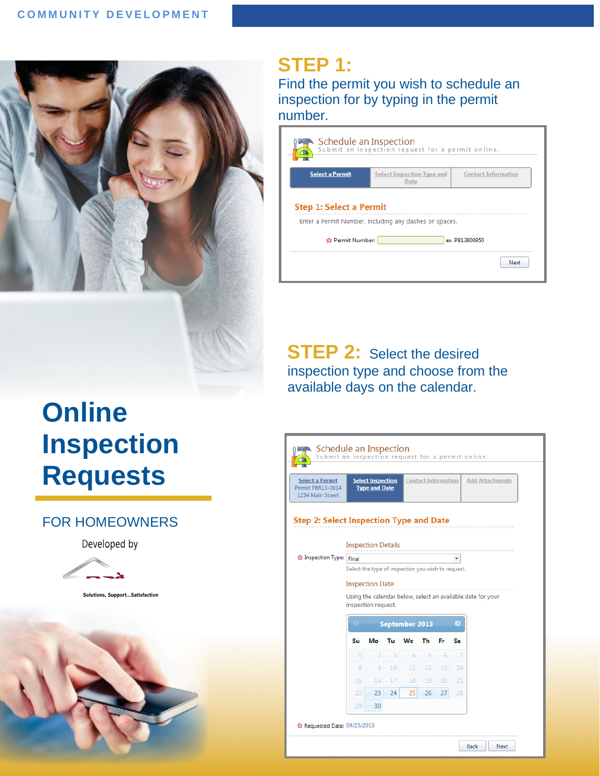

#### **STEP 1:**

Find the permit you wish to schedule an inspection for by typing in the permit number.

|                                | Schedule an Inspection<br>Submit an inspection request for a permit online. |                            |  |  |  |  |
|--------------------------------|-----------------------------------------------------------------------------|----------------------------|--|--|--|--|
| <b>Select a Permit</b>         | <b>Select Inspection Type and</b><br>Date                                   | <b>Contact Information</b> |  |  |  |  |
| <b>Step 1: Select a Permit</b> | Enter a Permit Number, including any dashes or spaces.                      |                            |  |  |  |  |
| ☆ Permit Number:               |                                                                             | ex. PB13800950             |  |  |  |  |
|                                |                                                                             | Next                       |  |  |  |  |
|                                |                                                                             |                            |  |  |  |  |

**STEP 2:** Select the desired inspection type and choose from the available days on the calendar.

# **Online Inspection Requests**

#### FOR HOMEOWNERS

#### Developed by



Solutions, Support... Satisfaction



| <b>Select a Permit</b><br>Permit PBR13-0014<br>1234 Main Street |                                                    | <b>Select Inspection</b><br><b>Type and Date</b> |              |                       | <b>Contact Information</b> |                 |                | <b>Add Attachments</b>                                      |
|-----------------------------------------------------------------|----------------------------------------------------|--------------------------------------------------|--------------|-----------------------|----------------------------|-----------------|----------------|-------------------------------------------------------------|
| <b>Step 2: Select Inspection Type and Date</b>                  |                                                    |                                                  |              |                       |                            |                 |                |                                                             |
|                                                                 |                                                    | <b>Inspection Details</b>                        |              |                       |                            |                 |                |                                                             |
| Inspection Type:                                                | Final                                              |                                                  |              |                       |                            |                 |                |                                                             |
|                                                                 | Select the type of inspection you wish to request. |                                                  |              |                       |                            |                 |                |                                                             |
|                                                                 |                                                    |                                                  |              |                       |                            |                 |                |                                                             |
|                                                                 |                                                    | <b>Inspection Date</b>                           |              |                       |                            |                 |                |                                                             |
|                                                                 |                                                    |                                                  |              |                       |                            |                 |                | Using the calendar below, select an available date for your |
|                                                                 |                                                    | inspection request.                              |              |                       |                            |                 |                |                                                             |
|                                                                 |                                                    |                                                  |              | <b>September 2013</b> |                            |                 | $\mathbf{O}$   |                                                             |
|                                                                 | Su                                                 | Мο                                               | Tu           | We                    | Th                         | Fr              | Sa             |                                                             |
|                                                                 | $\ddot{\phantom{1}}$                               | $\overline{2}$                                   | $\mathbf{B}$ | $\overline{4}$        | 5                          | 6               | $\overline{7}$ |                                                             |
|                                                                 | 8                                                  | 9                                                | 10           | 11                    | 12                         | 13              | 14             |                                                             |
|                                                                 | 15                                                 | 16                                               | 17           | 18                    | 19                         | 20 <sup>1</sup> | 21             |                                                             |
|                                                                 | 22                                                 | 23                                               | 24           | 25                    | 26                         | 27              | 28             |                                                             |